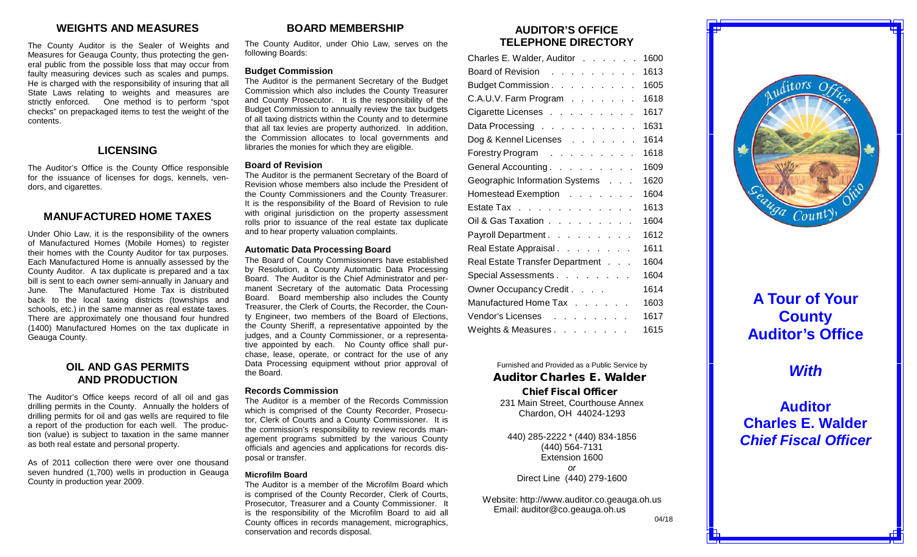## **WEIGHTS AND MEASURES**

The County Auditor is the Sealer of Weights and Measures for Geauga County, thus protecting the general public from the possible loss that may occur from faulty measuring devices such as scales and pumps. He is charged with the responsibility of insuring that all State Laws relating to weights and measures are strictly enforced. One method is to perform "spot checks" on prepackaged items to test the weight of the contents.

## **LICENSING**

The Auditor's Office is the County Office responsible for the issuance of licenses for dogs, kennels, vendors, and cigarettes.

### **MANUFACTURED HOME TAXES**

Under Ohio Law, it is the responsibility of the owners of Manufactured Homes (Mobile Homes) to register their homes with the County Auditor for tax purposes. Each Manufactured Home is annually assessed by the County Auditor. A tax duplicate is prepared and a tax bill is sent to each owner semi-annually in January and June. The Manufactured Home Tax is distributed back to the local taxing districts (townships and schools, etc.) in the same manner as real estate taxes. There are approximately one thousand four hundred (1400) Manufactured Homes on the tax duplicate in Geauga County.

## **OIL AND GAS PERMITS AND PRODUCTION**

The Auditor's Office keeps record of all oil and gas drilling permits in the County. Annually the holders of drilling permits for oil and gas wells are required to file a report of the production for each well. The production (value) is subject to taxation in the same manner as both real estate and personal property.

As of 2011 collection there were over one thousand seven hundred (1,700) wells in production in Geauga County in production year 2009.

## **BOARD MEMBERSHIP**

The County Auditor, under Ohio Law, serves on the following Boards:

#### **Budget Commission**

The Auditor is the permanent Secretary of the Budget Commission which also includes the County Treasurer and County Prosecutor. It is the responsibility of the Budget Commission to annually review the tax budgets of all taxing districts within the County and to determine that all tax levies are property authorized. In addition, the Commission allocates to local governments and libraries the monies for which they are eligible.

#### **Board of Revision**

The Auditor is the permanent Secretary of the Board of Revision whose members also include the President of the County Commissioners and the County Treasurer. It is the responsibility of the Board of Revision to rule with original jurisdiction on the property assessment rolls prior to issuance of the real estate tax duplicate and to hear property valuation complaints.

#### **Automatic Data Processing Board**

The Board of County Commissioners have established by Resolution, a County Automatic Data Processing Board. The Auditor is the Chief Administrator and permanent Secretary of the automatic Data Processing Board. Board membership also includes the County Treasurer, the Clerk of Courts, the Recorder, the County Engineer, two members of the Board of Elections, the County Sheriff, a representative appointed by the judges, and a County Commissioner, or a representative appointed by each. No County office shall purchase, lease, operate, or contract for the use of any Data Processing equipment without prior approval of the Board.

#### **Records Commission**

The Auditor is a member of the Records Commission which is comprised of the County Recorder, Prosecutor, Clerk of Courts and a County Commissioner. It is the commission's responsibility to review records management programs submitted by the various County officials and agencies and applications for records disposal or transfer.

#### **Microfilm Board**

The Auditor is a member of the Microfilm Board which is comprised of the County Recorder, Clerk of Courts, Prosecutor, Treasurer and a County Commissioner. It is the responsibility of the Microfilm Board to aid all County offices in records management, micrographics, conservation and records disposal.

## **AUDITOR'S OFFICE TELEPHONE DIRECTORY**

| Charles E. Walder, Auditor                                                     | 1600 |
|--------------------------------------------------------------------------------|------|
| Board of Revision                                                              | 1613 |
| Budget Commission.                                                             | 1605 |
| C.A.U.V. Farm Program                                                          | 1618 |
| Cigarette Licenses                                                             | 1617 |
| Data Processing                                                                | 1631 |
| Dog & Kennel Licenses                                                          | 1614 |
| Forestry Program                                                               | 1618 |
| General Accounting.                                                            | 1609 |
| Geographic Information Systems                                                 | 1620 |
| Homestead Exemption                                                            | 1604 |
| Estate Tax                                                                     | 1613 |
| Oil & Gas Taxation                                                             | 1604 |
| Payroll Department                                                             | 1612 |
| Real Estate Appraisal.                                                         | 1611 |
| Real Estate Transfer Department                                                | 1604 |
| Special Assessments                                                            | 1604 |
| Owner Occupancy Credit                                                         | 1614 |
| Manufactured Home Tax                                                          | 1603 |
| Vendor's Licenses research and research and research and research and research | 1617 |
| Weights & Measures                                                             | 1615 |

Furnished and Provided as a Public Service by Auditor Charles E. Walder Chief Fiscal Officer 231 Main Street, Courthouse Annex Chardon, OH 44024-1293

440) 285-2222 \* (440) 834-1856 (440) 564-7131 Extension 1600 *or* Direct Line (440) 279-1600

Website: [http://www.auditor.co.geauga.oh.us](http://www.auditor.co.geauga.oh.us/) Email: [auditor@co.geauga.oh.us](mailto:auditor@co.geauga.oh.us)



# **A Tour of Your County Auditor's Office**

# *With*

**Auditor Charles E. Walder** *Chief Fiscal Officer*